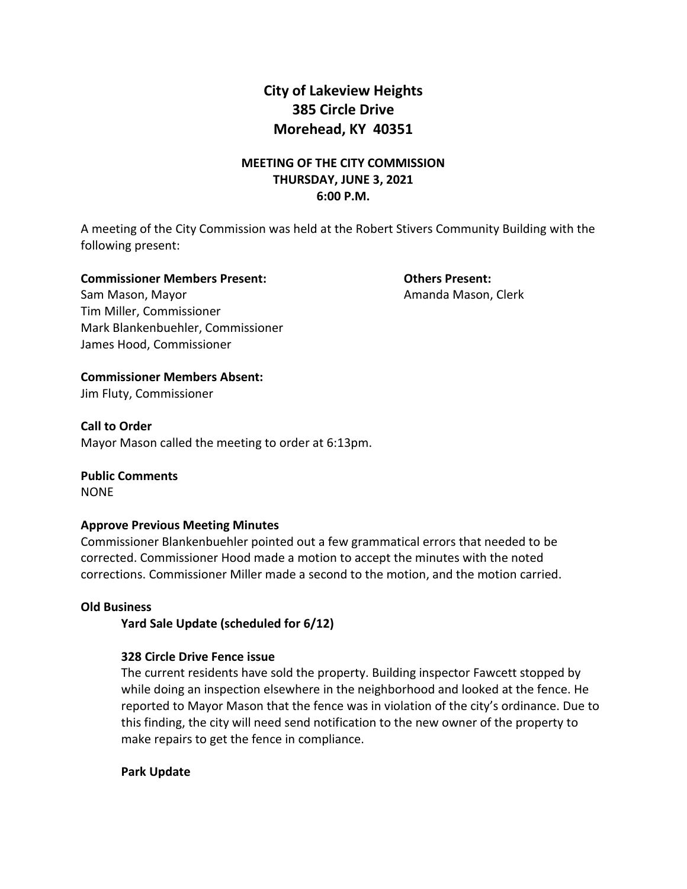# **City of Lakeview Heights 385 Circle Drive Morehead, KY 40351**

# **MEETING OF THE CITY COMMISSION THURSDAY, JUNE 3, 2021 6:00 P.M.**

A meeting of the City Commission was held at the Robert Stivers Community Building with the following present:

#### **Commissioner Members Present: Others Present:**

Sam Mason, Mayor **Amanda Mason, Clerk** Amanda Mason, Clerk Tim Miller, Commissioner Mark Blankenbuehler, Commissioner James Hood, Commissioner

# **Commissioner Members Absent:**

Jim Fluty, Commissioner

### **Call to Order**

Mayor Mason called the meeting to order at 6:13pm.

**Public Comments** NONE

## **Approve Previous Meeting Minutes**

Commissioner Blankenbuehler pointed out a few grammatical errors that needed to be corrected. Commissioner Hood made a motion to accept the minutes with the noted corrections. Commissioner Miller made a second to the motion, and the motion carried.

## **Old Business**

**Yard Sale Update (scheduled for 6/12)**

## **328 Circle Drive Fence issue**

The current residents have sold the property. Building inspector Fawcett stopped by while doing an inspection elsewhere in the neighborhood and looked at the fence. He reported to Mayor Mason that the fence was in violation of the city's ordinance. Due to this finding, the city will need send notification to the new owner of the property to make repairs to get the fence in compliance.

## **Park Update**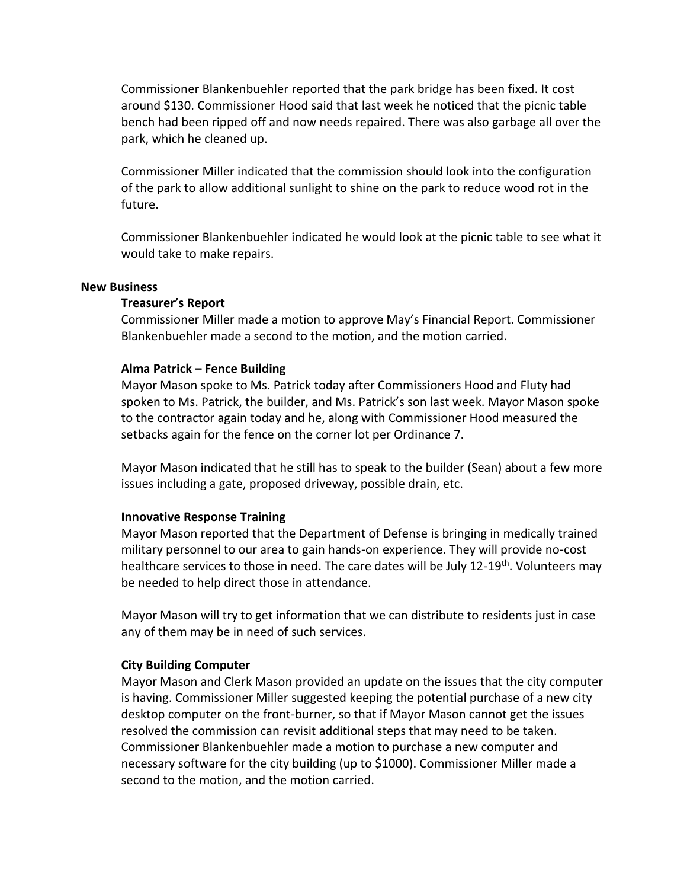Commissioner Blankenbuehler reported that the park bridge has been fixed. It cost around \$130. Commissioner Hood said that last week he noticed that the picnic table bench had been ripped off and now needs repaired. There was also garbage all over the park, which he cleaned up.

Commissioner Miller indicated that the commission should look into the configuration of the park to allow additional sunlight to shine on the park to reduce wood rot in the future.

Commissioner Blankenbuehler indicated he would look at the picnic table to see what it would take to make repairs.

#### **New Business**

#### **Treasurer's Report**

Commissioner Miller made a motion to approve May's Financial Report. Commissioner Blankenbuehler made a second to the motion, and the motion carried.

#### **Alma Patrick – Fence Building**

Mayor Mason spoke to Ms. Patrick today after Commissioners Hood and Fluty had spoken to Ms. Patrick, the builder, and Ms. Patrick's son last week. Mayor Mason spoke to the contractor again today and he, along with Commissioner Hood measured the setbacks again for the fence on the corner lot per Ordinance 7.

Mayor Mason indicated that he still has to speak to the builder (Sean) about a few more issues including a gate, proposed driveway, possible drain, etc.

#### **Innovative Response Training**

Mayor Mason reported that the Department of Defense is bringing in medically trained military personnel to our area to gain hands-on experience. They will provide no-cost healthcare services to those in need. The care dates will be July 12-19<sup>th</sup>. Volunteers may be needed to help direct those in attendance.

Mayor Mason will try to get information that we can distribute to residents just in case any of them may be in need of such services.

#### **City Building Computer**

Mayor Mason and Clerk Mason provided an update on the issues that the city computer is having. Commissioner Miller suggested keeping the potential purchase of a new city desktop computer on the front-burner, so that if Mayor Mason cannot get the issues resolved the commission can revisit additional steps that may need to be taken. Commissioner Blankenbuehler made a motion to purchase a new computer and necessary software for the city building (up to \$1000). Commissioner Miller made a second to the motion, and the motion carried.